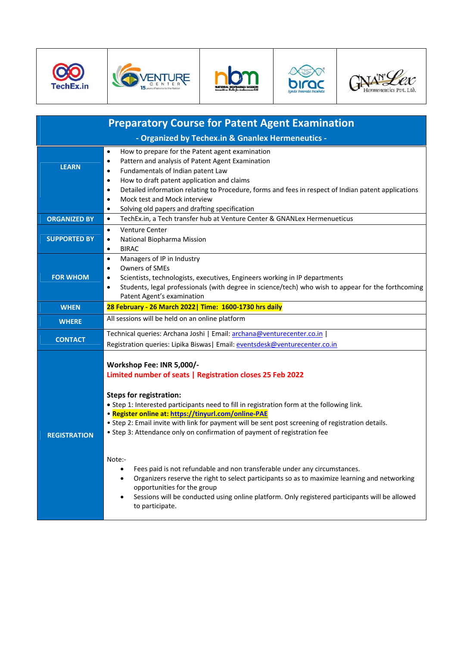









| <b>Preparatory Course for Patent Agent Examination</b> |                                                                                                                                                                                                                                                                                                                                                                                                                                                                                                                                                                                                                                                                                                                                                                                                                               |  |  |
|--------------------------------------------------------|-------------------------------------------------------------------------------------------------------------------------------------------------------------------------------------------------------------------------------------------------------------------------------------------------------------------------------------------------------------------------------------------------------------------------------------------------------------------------------------------------------------------------------------------------------------------------------------------------------------------------------------------------------------------------------------------------------------------------------------------------------------------------------------------------------------------------------|--|--|
|                                                        | - Organized by Techex.in & Gnanlex Hermeneutics -                                                                                                                                                                                                                                                                                                                                                                                                                                                                                                                                                                                                                                                                                                                                                                             |  |  |
| <b>LEARN</b>                                           | How to prepare for the Patent agent examination<br>$\bullet$<br>Pattern and analysis of Patent Agent Examination<br>$\bullet$<br>Fundamentals of Indian patent Law<br>$\bullet$<br>How to draft patent application and claims<br>$\bullet$<br>Detailed information relating to Procedure, forms and fees in respect of Indian patent applications<br>$\bullet$<br>Mock test and Mock interview<br>$\bullet$<br>Solving old papers and drafting specification<br>$\bullet$                                                                                                                                                                                                                                                                                                                                                     |  |  |
| <b>ORGANIZED BY</b>                                    | TechEx.in, a Tech transfer hub at Venture Center & GNANLex Hermenueticus<br>$\bullet$                                                                                                                                                                                                                                                                                                                                                                                                                                                                                                                                                                                                                                                                                                                                         |  |  |
| <b>SUPPORTED BY</b>                                    | Venture Center<br>$\bullet$<br>National Biopharma Mission<br>$\bullet$<br><b>BIRAC</b><br>$\bullet$                                                                                                                                                                                                                                                                                                                                                                                                                                                                                                                                                                                                                                                                                                                           |  |  |
| <b>FOR WHOM</b>                                        | Managers of IP in Industry<br>$\bullet$<br>Owners of SMEs<br>$\bullet$<br>Scientists, technologists, executives, Engineers working in IP departments<br>$\bullet$<br>Students, legal professionals (with degree in science/tech) who wish to appear for the forthcoming<br>$\bullet$<br>Patent Agent's examination                                                                                                                                                                                                                                                                                                                                                                                                                                                                                                            |  |  |
| <b>WHEN</b>                                            | 28 February - 26 March 2022   Time: 1600-1730 hrs daily                                                                                                                                                                                                                                                                                                                                                                                                                                                                                                                                                                                                                                                                                                                                                                       |  |  |
| <b>WHERE</b>                                           | All sessions will be held on an online platform                                                                                                                                                                                                                                                                                                                                                                                                                                                                                                                                                                                                                                                                                                                                                                               |  |  |
| <b>CONTACT</b>                                         | Technical queries: Archana Joshi   Email: archana@venturecenter.co.in  <br>Registration queries: Lipika Biswas   Email: eventsdesk@venturecenter.co.in                                                                                                                                                                                                                                                                                                                                                                                                                                                                                                                                                                                                                                                                        |  |  |
| <b>REGISTRATION</b>                                    | Workshop Fee: INR 5,000/-<br>Limited number of seats   Registration closes 25 Feb 2022<br><b>Steps for registration:</b><br>• Step 1: Interested participants need to fill in registration form at the following link.<br>· Register online at: https://tinyurl.com/online-PAE<br>. Step 2: Email invite with link for payment will be sent post screening of registration details.<br>• Step 3: Attendance only on confirmation of payment of registration fee<br>Note:-<br>Fees paid is not refundable and non transferable under any circumstances.<br>٠<br>Organizers reserve the right to select participants so as to maximize learning and networking<br>$\bullet$<br>opportunities for the group<br>Sessions will be conducted using online platform. Only registered participants will be allowed<br>to participate. |  |  |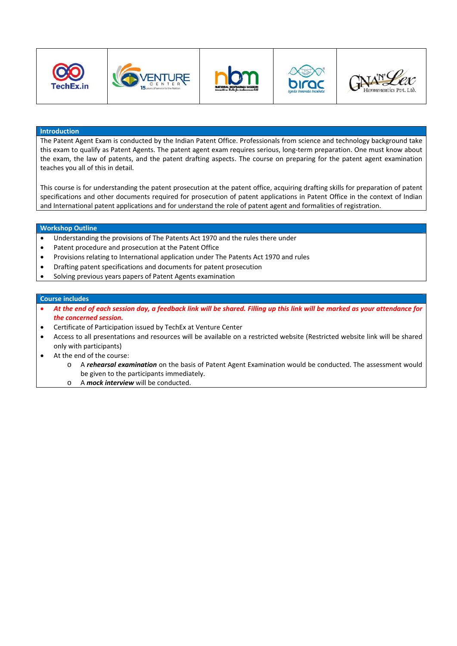









## **Introduction**

The Patent Agent Exam is conducted by the Indian Patent Office. Professionals from science and technology background take this exam to qualify as Patent Agents. The patent agent exam requires serious, long-term preparation. One must know about the exam, the law of patents, and the patent drafting aspects. The course on preparing for the patent agent examination teaches you all of this in detail.

This course is for understanding the patent prosecution at the patent office, acquiring drafting skills for preparation of patent specifications and other documents required for prosecution of patent applications in Patent Office in the context of Indian and International patent applications and for understand the role of patent agent and formalities of registration.

## **Workshop Outline**

- Understanding the provisions of The Patents Act 1970 and the rules there under
- Patent procedure and prosecution at the Patent Office
- Provisions relating to International application under The Patents Act 1970 and rules
- Drafting patent specifications and documents for patent prosecution
- Solving previous years papers of Patent Agents examination

## **Course includes**

- At the end of each session day, a feedback link will be shared. Filling up this link will be marked as your attendance for *the concerned session.*
- Certificate of Participation issued by TechEx at Venture Center
- Access to all presentations and resources will be available on a restricted website (Restricted website link will be shared only with participants)
- At the end of the course:
	- o A *rehearsal examination* on the basis of Patent Agent Examination would be conducted. The assessment would be given to the participants immediately.
	- o A *mock interview* will be conducted.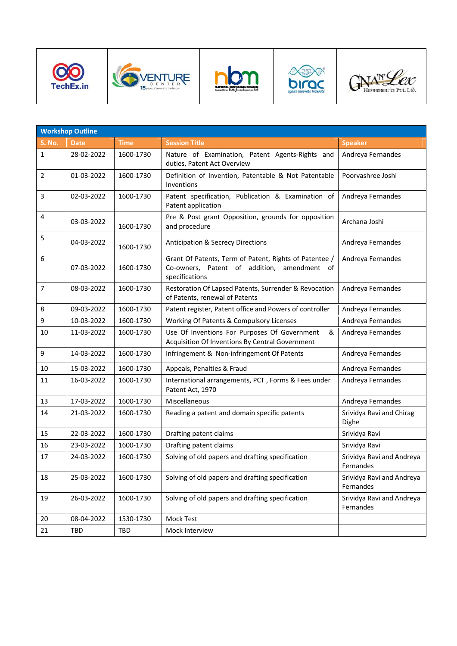









|                | <b>Workshop Outline</b> |           |                                                                                                                         |                                        |
|----------------|-------------------------|-----------|-------------------------------------------------------------------------------------------------------------------------|----------------------------------------|
| <b>S. No.</b>  | <b>Date</b>             | Time      | <b>Session Title</b>                                                                                                    | <b>Speaker</b>                         |
| $\mathbf{1}$   | 28-02-2022              | 1600-1730 | Nature of Examination, Patent Agents-Rights and<br>duties, Patent Act Overview                                          | Andreya Fernandes                      |
| $\overline{2}$ | 01-03-2022              | 1600-1730 | Definition of Invention, Patentable & Not Patentable<br>Inventions                                                      | Poorvashree Joshi                      |
| 3              | 02-03-2022              | 1600-1730 | Patent specification, Publication & Examination of<br>Patent application                                                | Andreya Fernandes                      |
| 4              | 03-03-2022              | 1600-1730 | Pre & Post grant Opposition, grounds for opposition<br>and procedure                                                    | Archana Joshi                          |
| 5              | 04-03-2022              | 1600-1730 | <b>Anticipation &amp; Secrecy Directions</b>                                                                            | Andreya Fernandes                      |
| 6              | 07-03-2022              | 1600-1730 | Grant Of Patents, Term of Patent, Rights of Patentee /<br>Co-owners, Patent of addition, amendment of<br>specifications | Andreya Fernandes                      |
| 7              | 08-03-2022              | 1600-1730 | Restoration Of Lapsed Patents, Surrender & Revocation<br>of Patents, renewal of Patents                                 | Andreya Fernandes                      |
| 8              | 09-03-2022              | 1600-1730 | Patent register, Patent office and Powers of controller                                                                 | Andreya Fernandes                      |
| 9              | 10-03-2022              | 1600-1730 | Working Of Patents & Compulsory Licenses                                                                                | Andreya Fernandes                      |
| 10             | 11-03-2022              | 1600-1730 | Use Of Inventions For Purposes Of Government<br>&<br>Acquisition Of Inventions By Central Government                    | Andreya Fernandes                      |
| 9              | 14-03-2022              | 1600-1730 | Infringement & Non-infringement Of Patents                                                                              | Andreya Fernandes                      |
| 10             | 15-03-2022              | 1600-1730 | Appeals, Penalties & Fraud                                                                                              | Andreya Fernandes                      |
| 11             | 16-03-2022              | 1600-1730 | International arrangements, PCT, Forms & Fees under<br>Patent Act, 1970                                                 | Andreya Fernandes                      |
| 13             | 17-03-2022              | 1600-1730 | Miscellaneous                                                                                                           | Andreya Fernandes                      |
| 14             | 21-03-2022              | 1600-1730 | Reading a patent and domain specific patents                                                                            | Srividya Ravi and Chirag<br>Dighe      |
| 15             | 22-03-2022              | 1600-1730 | Drafting patent claims                                                                                                  | Srividya Ravi                          |
| 16             | 23-03-2022              | 1600-1730 | Drafting patent claims                                                                                                  | Srividya Ravi                          |
| 17             | 24-03-2022              | 1600-1730 | Solving of old papers and drafting specification                                                                        | Srividya Ravi and Andreya<br>Fernandes |
| 18             | 25-03-2022              | 1600-1730 | Solving of old papers and drafting specification                                                                        | Srividya Ravi and Andreya<br>Fernandes |
| 19             | 26-03-2022              | 1600-1730 | Solving of old papers and drafting specification                                                                        | Srividya Ravi and Andreya<br>Fernandes |
| 20             | 08-04-2022              | 1530-1730 | Mock Test                                                                                                               |                                        |
| 21             | TBD                     | TBD       | Mock Interview                                                                                                          |                                        |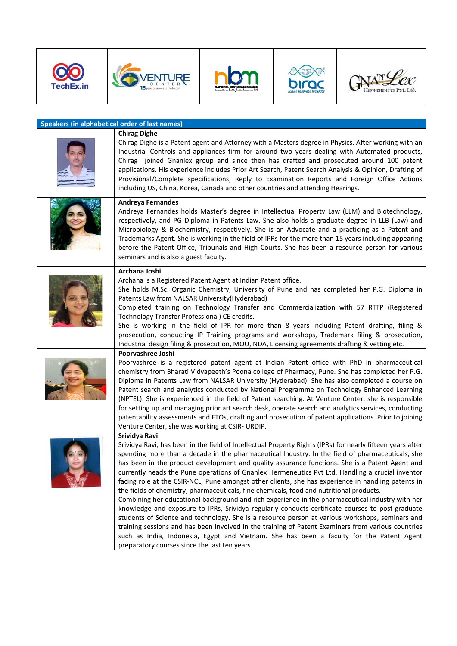









| <b>Speakers (in alphabetical order of last names)</b> |                                                                                                                                                                                                                                                                                                                                                                                                                                                                                                                                                                                                                                                                                                                                                                                                                                                                                                                                                                                                                                                                                                                                                                                                       |  |  |  |
|-------------------------------------------------------|-------------------------------------------------------------------------------------------------------------------------------------------------------------------------------------------------------------------------------------------------------------------------------------------------------------------------------------------------------------------------------------------------------------------------------------------------------------------------------------------------------------------------------------------------------------------------------------------------------------------------------------------------------------------------------------------------------------------------------------------------------------------------------------------------------------------------------------------------------------------------------------------------------------------------------------------------------------------------------------------------------------------------------------------------------------------------------------------------------------------------------------------------------------------------------------------------------|--|--|--|
|                                                       | <b>Chirag Dighe</b><br>Chirag Dighe is a Patent agent and Attorney with a Masters degree in Physics. After working with an<br>Industrial Controls and appliances firm for around two years dealing with Automated products,<br>Chirag joined Gnanlex group and since then has drafted and prosecuted around 100 patent<br>applications. His experience includes Prior Art Search, Patent Search Analysis & Opinion, Drafting of<br>Provisional/Complete specifications, Reply to Examination Reports and Foreign Office Actions<br>including US, China, Korea, Canada and other countries and attending Hearings.                                                                                                                                                                                                                                                                                                                                                                                                                                                                                                                                                                                     |  |  |  |
|                                                       | <b>Andreya Fernandes</b><br>Andreya Fernandes holds Master's degree in Intellectual Property Law (LLM) and Biotechnology,<br>respectively, and PG Diploma in Patents Law. She also holds a graduate degree in LLB (Law) and<br>Microbiology & Biochemistry, respectively. She is an Advocate and a practicing as a Patent and<br>Trademarks Agent. She is working in the field of IPRs for the more than 15 years including appearing<br>before the Patent Office, Tribunals and High Courts. She has been a resource person for various<br>seminars and is also a guest faculty.                                                                                                                                                                                                                                                                                                                                                                                                                                                                                                                                                                                                                     |  |  |  |
|                                                       | Archana Joshi<br>Archana is a Registered Patent Agent at Indian Patent office.<br>She holds M.Sc. Organic Chemistry, University of Pune and has completed her P.G. Diploma in<br>Patents Law from NALSAR University (Hyderabad)<br>Completed training on Technology Transfer and Commercialization with 57 RTTP (Registered<br>Technology Transfer Professional) CE credits.<br>She is working in the field of IPR for more than 8 years including Patent drafting, filing &<br>prosecution, conducting IP Training programs and workshops, Trademark filing & prosecution,<br>Industrial design filing & prosecution, MOU, NDA, Licensing agreements drafting & vetting etc.                                                                                                                                                                                                                                                                                                                                                                                                                                                                                                                         |  |  |  |
|                                                       | Poorvashree Joshi<br>Poorvashree is a registered patent agent at Indian Patent office with PhD in pharmaceutical<br>chemistry from Bharati Vidyapeeth's Poona college of Pharmacy, Pune. She has completed her P.G.<br>Diploma in Patents Law from NALSAR University (Hyderabad). She has also completed a course on<br>Patent search and analytics conducted by National Programme on Technology Enhanced Learning<br>(NPTEL). She is experienced in the field of Patent searching. At Venture Center, she is responsible<br>for setting up and managing prior art search desk, operate search and analytics services, conducting<br>patentability assessments and FTOs, drafting and prosecution of patent applications. Prior to joining<br>Venture Center, she was working at CSIR- URDIP.                                                                                                                                                                                                                                                                                                                                                                                                        |  |  |  |
|                                                       | Srividya Ravi<br>Srividya Ravi, has been in the field of Intellectual Property Rights (IPRs) for nearly fifteen years after<br>spending more than a decade in the pharmaceutical Industry. In the field of pharmaceuticals, she<br>has been in the product development and quality assurance functions. She is a Patent Agent and<br>currently heads the Pune operations of Gnanlex Hermeneutics Pvt Ltd. Handling a crucial inventor<br>facing role at the CSIR-NCL, Pune amongst other clients, she has experience in handling patents in<br>the fields of chemistry, pharmaceuticals, fine chemicals, food and nutritional products.<br>Combining her educational background and rich experience in the pharmaceutical industry with her<br>knowledge and exposure to IPRs, Srividya regularly conducts certificate courses to post-graduate<br>students of Science and technology. She is a resource person at various workshops, seminars and<br>training sessions and has been involved in the training of Patent Examiners from various countries<br>such as India, Indonesia, Egypt and Vietnam. She has been a faculty for the Patent Agent<br>preparatory courses since the last ten years. |  |  |  |